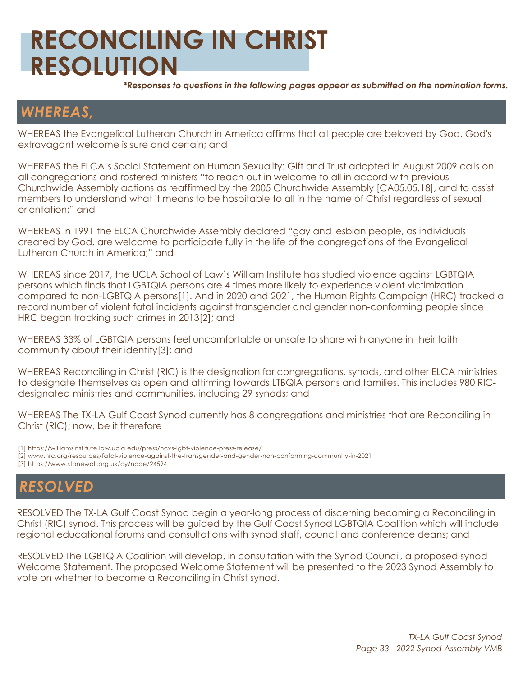## **RECONCILING IN CHRIST RESOLUTION**

*\*Responses to questions in the following pages appear as submitted on the nomination forms.*

## *WHEREAS,*

WHEREAS the Evangelical Lutheran Church in America affirms that all people are beloved by God. God's extravagant welcome is sure and certain; and

WHEREAS the ELCA's Social Statement on Human Sexuality: Gift and Trust adopted in August 2009 calls on all congregations and rostered ministers "to reach out in welcome to all in accord with previous Churchwide Assembly actions as reaffirmed by the 2005 Churchwide Assembly [CA05.05.18], and to assist members to understand what it means to be hospitable to all in the name of Christ regardless of sexual orientation;" and

WHEREAS in 1991 the ELCA Churchwide Assembly declared "gay and lesbian people, as individuals created by God, are welcome to participate fully in the life of the congregations of the Evangelical Lutheran Church in America;" and

WHEREAS since 2017, the UCLA School of Law's William Institute has studied violence against LGBTQIA persons which finds that LGBTQIA persons are 4 times more likely to experience violent victimization compared to non-LGBTQIA persons[1]. And in 2020 and 2021, the Human Rights Campaign (HRC) tracked a record number of violent fatal incidents against transgender and gender non-conforming people since HRC began tracking such crimes in 2013[2]; and

WHEREAS 33% of LGBTQIA persons feel uncomfortable or unsafe to share with anyone in their faith community about their identity[3]; and

WHEREAS Reconciling in Christ (RIC) is the designation for congregations, synods, and other ELCA ministries to designate themselves as open and affirming towards LTBQIA persons and families. This includes 980 RICdesignated ministries and communities, including 29 synods; and

WHEREAS The TX-LA Gulf Coast Synod currently has 8 congregations and ministries that are Reconciling in Christ (RIC); now, be it therefore

[1] https://williamsinstitute.law.ucla.edu/press/ncvs-lgbt-violence-press-release/ [2] www.hrc.org/resources/fatal-violence-against-the-transgender-and-gender-non-conforming-community-in-2021 [3] https://www.stonewall.org.uk/cy/node/24594

### *RESOLVED*

RESOLVED The TX-LA Gulf Coast Synod begin a year-long process of discerning becoming a Reconciling in Christ (RIC) synod. This process will be guided by the Gulf Coast Synod LGBTQIA Coalition which will include regional educational forums and consultations with synod staff, council and conference deans; and

RESOLVED The LGBTQIA Coalition will develop, in consultation with the Synod Council, a proposed synod Welcome Statement. The proposed Welcome Statement will be presented to the 2023 Synod Assembly to vote on whether to become a Reconciling in Christ synod.